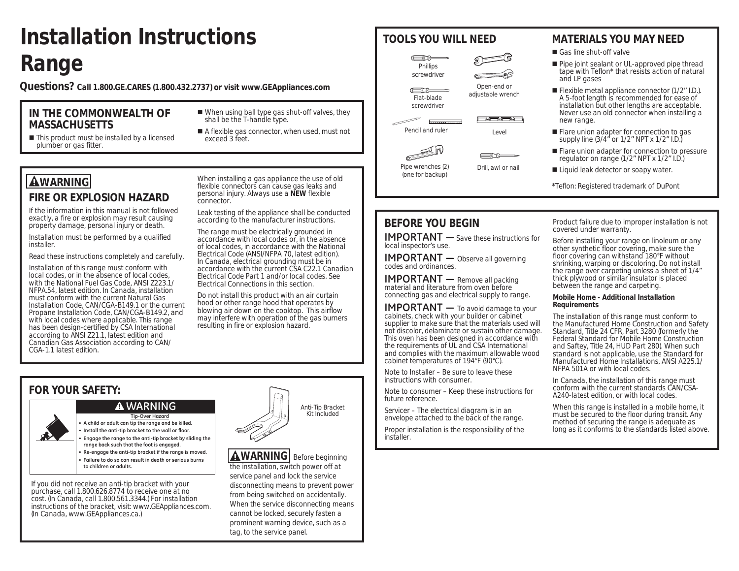# **Installation Instructions Range**

**Questions? Call 1.800.GE.CARES (1.800.432.2737) or visit www.GEAppliances.com** 

### **IN THE COMMONWEALTH OF MASSACHUSETTS**

- When using ball type gas shut-off valves, they shall be the T-handle type.
- This product must be installed by a licensed plumber or gas fitter.
- 
- A flexible gas connector, when used, must not exceed 3 feet.

## **AWARNING**

## **FIRE OR EXPLOSION HAZARD**

If the information in this manual is not followed exactly, a fire or explosion may result causing property damage, personal injury or death.

Installation must be performed by a qualified installer.

Read these instructions completely and carefully.

Installation of this range must conform with local codes, or in the absence of local codes, with the National Fuel Gas Code, ANSI Z223.1/ NFPA.54, latest edition. In Canada, installation must conform with the current Natural Gas Installation Code, CAN/CGA-B149.1 or the current Propane Installation Code, CAN/CGA-B149.2, and with local codes where applicable. This range has been design-certified by CSA International according to ANSI Z21.1, latest edition and Canadian Gas Association according to CAN/ CGA-1.1 latest edition.

When installing a gas appliance the use of old flexible connectors can cause gas leaks and personal injury. Always use a **NEW** flexible connector.

Leak testing of the appliance shall be conducted according to the manufacturer instructions.

The range must be electrically grounded in accordance with local codes or, in the absence of local codes, in accordance with the National Electrical Code (ANSI/NFPA 70, latest edition). In Canada, electrical grounding must be in accordance with the current CSA C22.1 Canadian Electrical Code Part 1 and/or local codes. See Electrical Connections in this section.

Do not install this product with an air curtain hood or other range hood that operates by blowing air down on the cooktop. This airflow may interfere with operation of the gas burners resulting in fire or explosion hazard.

## **FOR YOUR SAFETY:**

## **WARNING**

**• A child or adult can tip the range and be killed. Tip-Over Hazard**

- **Install the anti-tip bracket to the wall or floor. • Engage the range to the anti-tip bracket by sliding the**
- **range back such that the foot is engaged.**
- **Re-engage the anti-tip bracket if the range is moved. • Failure to do so can result in death or serious burns**
- **to children or adults.**

If you did not receive an anti-tip bracket with your purchase, call 1.800.626.8774 to receive one at no cost. (In Canada, call 1.800.561.3344.) For installation instructions of the bracket, visit: www.GEAppliances.com. (In Canada, www.GEAppliances.ca.)



**AWARNING** Before beginning the installation, switch power off at service panel and lock the service disconnecting means to prevent power from being switched on accidentally. When the service disconnecting means cannot be locked, securely fasten a prominent warning device, such as a tag, to the service panel.



Open-end or adjustable wrench

- 確 向 船 1







Pipe wrenches (2) (one for backup)

## **TOOLS YOU WILL NEED MATERIALS YOU MAY NEED**

Gas line shut-off valve

- Pipe joint sealant or UL-approved pipe thread tape with Teflon\* that resists action of natural and LP gases
- Flexible metal appliance connector (1/2" I.D.). A 5-foot length is recommended for ease of installation but other lengths are acceptable. Never use an old connector when installing a new range.
- **Flare union adapter for connection to gas** supply line (3/4" or 1/2" NPT x 1/2" I.D.)
- **Flare union adapter for connection to pressure** regulator on range (1/2" NPT x 1/2" I.D.)
- Liquid leak detector or soapy water.
- \*Teflon: Registered trademark of DuPont

## **BEFORE YOU BEGIN**

**IMPORTANT** — Save these instructions for local inspector's use.

**IMPORTANT** — Observe all governing codes and ordinances.

**IMPORTANT** - Remove all packing material and literature from oven before connecting gas and electrical supply to range.

**IMPORTANT** - To avoid damage to your cabinets, check with your builder or cabinet supplier to make sure that the materials used will not discolor, delaminate or sustain other damage. This oven has been designed in accordance with the requirements of UL and CSA International and complies with the maximum allowable wood cabinet temperatures of 194°F (90°C).

Note to Installer – Be sure to leave these instructions with consumer.

Note to consumer – Keep these instructions for future reference.

Servicer – The electrical diagram is in an envelope attached to the back of the range.

Proper installation is the responsibility of the installer.

Product failure due to improper installation is not covered under warranty.

Before installing your range on linoleum or any other synthetic floor covering, make sure the floor covering can withstand 180°F without shrinking, warping or discoloring. Do not install the range over carpeting unless a sheet of 1/4" thick plywood or similar insulator is placed between the range and carpeting.

### **Mobile Home - Additional Installation Requirements**

The installation of this range must conform to the Manufactured Home Construction and Safety Standard, Title 24 CFR, Part 3280 (formerly the Federal Standard for Mobile Home Construction and Saftey, Title 24, HUD Part 280). When such standard is not applicable, use the Standard for Manufactured Home Installations, ANSI A225.1/ NFPA 501A or with local codes.

In Canada, the installation of this range must conform with the current standards CAN/CSA-A240-latest edition, or with local codes.

When this range is installed in a mobile home, it must be secured to the floor during transit. Any method of securing the range is adequate as long as it conforms to the standards listed above.



# Pencil and ruler Level

screwdriver

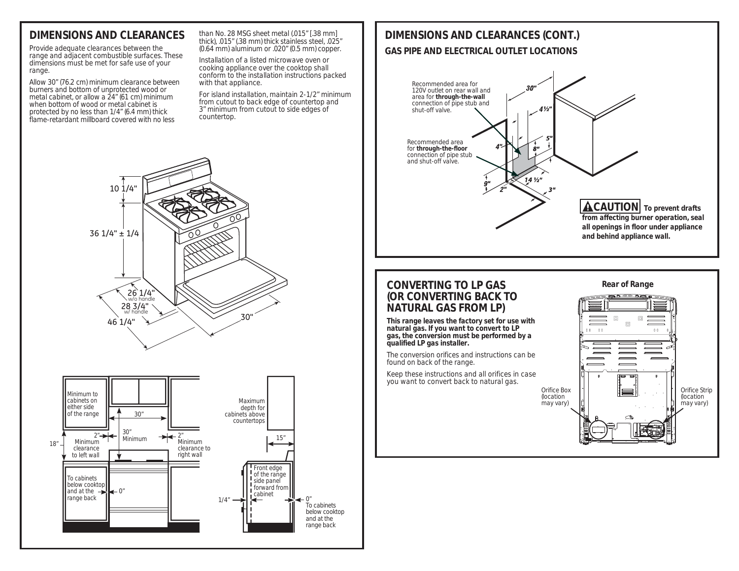## **DIMENSIONS AND CLEARANCES**

Provide adequate clearances between the range and adjacent combustible surfaces. These dimensions must be met for safe use of your range.

Allow 30" (76.2 cm) minimum clearance between burners and bottom of unprotected wood or metal cabinet, or allow a 24" (61 cm) minimum when bottom of wood or metal cabinet is protected by no less than 1/4" (6.4 mm) thick flame-retardant millboard covered with no less

than No. 28 MSG sheet metal (.015" [.38 mm] thick), .015" (.38 mm) thick stainless steel, .025" (0.64 mm) aluminum or .020" (0.5 mm) copper.

Installation of a listed microwave oven or cooking appliance over the cooktop shall conform to the installation instructions packed with that appliance.

For island installation, maintain 2-1/2" minimum from cutout to back edge of countertop and 3" minimum from cutout to side edges of countertop.



### **CONVERTING TO LP GAS (OR CONVERTING BACK TO NATURAL GAS FROM LP)**

**This range leaves the factory set for use with natural gas. If you want to convert to LP gas, the conversion must be performed by a qualified LP gas installer.**

The conversion orifices and instructions can be found on back of the range.

Keep these instructions and all orifices in case you want to convert back to natural gas.





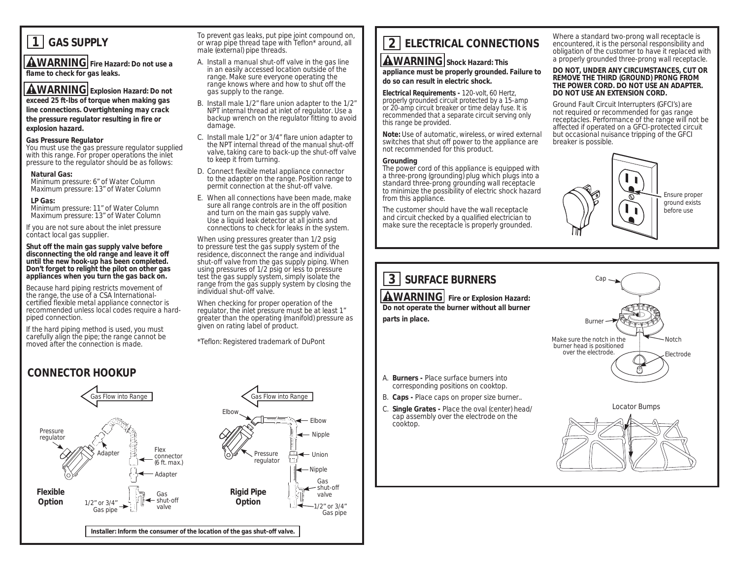## **1 GAS SUPPLY**

**AWARNING** Fire Hazard: Do not use a **flame to check for gas leaks.**

## **AWARNING** Explosion Hazard: Do not

**exceed 25 ft-lbs of torque when making gas line connections. Overtightening may crack the pressure regulator resulting in fire or explosion hazard.**

### **Gas Pressure Regulator**

You must use the gas pressure regulator supplied with this range. For proper operations the inlet pressure to the regulator should be as follows:

### **Natural Gas:**

 Minimum pressure: 6" of Water Column Maximum pressure: 13" of Water Column

### **LP Gas:**

 Minimum pressure: 11" of Water Column Maximum pressure: 13" of Water Column

If you are not sure about the inlet pressure contact local gas supplier.

**Shut off the main gas supply valve before disconnecting the old range and leave it off until the new hook-up has been completed. Don't forget to relight the pilot on other gas appliances when you turn the gas back on.**

Because hard piping restricts movement of the range, the use of a CSA Internationalcertified flexible metal appliance connector is recommended unless local codes require a hardpiped connection.

If the hard piping method is used, you must carefully align the pipe; the range cannot be moved after the connection is made.

## **CONNECTOR HOOKUP**

Pressure regulator  $\frac{1}{\sqrt{2}}$  Gas Flow into Range Flex connector (6 ft. max.) Adapter **Installer: Inform the consumer of the location of the gas shut-off valve.** 1/2" or 3/4" Gas pipe **Adapter** Gas ← shut-off valve Pressure regulator Elbow - Elbow - Nipple  $\leftarrow$  Union ← Nipple Gas shut-off valve 1/2" or 3/4" Gas pipe **Flexible Option Rigid Pipe Option**

To prevent gas leaks, put pipe joint compound on, or wrap pipe thread tape with Teflon\* around, all male (external) pipe threads.

- A. Install a manual shut-off valve in the gas line in an easily accessed location outside of the range. Make sure everyone operating the range knows where and how to shut off the gas supply to the range.
- B. Install male 1/2" flare union adapter to the 1/2" NPT internal thread at inlet of regulator. Use a backup wrench on the regulator fitting to avoid damage.
- C. Install male 1/2" or 3/4" flare union adapter to the NPT internal thread of the manual shut-off valve, taking care to back-up the shut-off valve to keep it from turning.
- D. Connect flexible metal appliance connector to the adapter on the range. Position range to permit connection at the shut-off valve.
- E. When all connections have been made, make sure all range controls are in the off position and turn on the main gas supply valve. Use a liquid leak detector at all joints and connections to check for leaks in the system.

When using pressures greater than 1/2 psig to pressure test the gas supply system of the residence, disconnect the range and individual shut-off valve from the gas supply piping. When using pressures of 1/2 psig or less to pressure test the gas supply system, simply isolate the range from the gas supply system by closing the individual shut-off valve.

When checking for proper operation of the regulator, the inlet pressure must be at least 1" greater than the operating (manifold) pressure as given on rating label of product.

\*Teflon: Registered trademark of DuPont

## **2 ELECTRICAL CONNECTIONS**

### **AWARNING** Shock Hazard: This

**appliance must be properly grounded. Failure to do so can result in electric shock.**

**Electrical Requirements -** 120-volt, 60 Hertz, properly grounded circuit protected by a 15-amp or 20-amp circuit breaker or time delay fuse. It is recommended that a separate circuit serving only this range be provided.

**Note:** Use of automatic, wireless, or wired external switches that shut off power to the appliance are not recommended for this product.

### **Grounding**

The power cord of this appliance is equipped with a three-prong (grounding) plug which plugs into a standard three-prong grounding wall receptacle to minimize the possibility of electric shock hazard from this appliance.

The customer should have the wall receptacle and circuit checked by a qualified electrician to make sure the receptacle is properly grounded.

Where a standard two-prong wall receptacle is encountered, it is the personal responsibility and obligation of the customer to have it replaced with a properly grounded three-prong wall receptacle.

### **DO NOT, UNDER ANY CIRCUMSTANCES, CUT OR REMOVE THE THIRD (GROUND) PRONG FROM THE POWER CORD. DO NOT USE AN ADAPTER. DO NOT USE AN EXTENSION CORD.**

Ground Fault Circuit Interrupters (GFCI's) are not required or recommended for gas range receptacles. Performance of the range will not be affected if operated on a GFCI-protected circuit but occasional nuisance tripping of the GFCI breaker is possible.



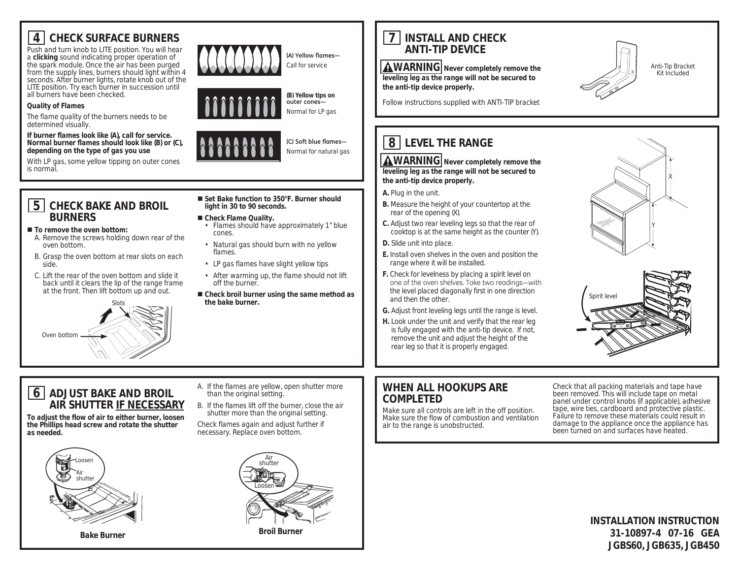## **4 CHECK SURFACE BURNERS**

Push and turn knob to LITE position. You will hear a **clicking** sound indicating proper operation of the spark module. Once the air has been purged from the supply lines, burners should light within 4 seconds. After burner lights, rotate knob out of the LITE position. Try each burner in succession until all burners have been checked.

### **Quality of Flames**

The flame quality of the burners needs to be determined visually.

**If burner flames look like (A), call for service. Normal burner flames should look like (B) or (C), depending on the type of gas you use**

With LP gas, some yellow tipping on outer cones is normal.

## **5 CHECK BAKE AND BROIL BURNERS**

### ■ To remove the oven bottom:

- A. Remove the screws holding down rear of the oven bottom.
- B. Grasp the oven bottom at rear slots on each side.
- C. Lift the rear of the oven bottom and slide it back until it clears the lip of the range frame at the front. Then lift bottom up and out.











Normal for natural gas

**Yellow flames-**Call for service

# **(C) Soft blue flames-**

■ Set Bake function to 350°F. Burner should **light in 30 to 90 seconds.**

### **Check Flame Quality.**

- Flames should have approximately 1" blue cones.
- Natural gas should burn with no yellow flames.
- LP gas flames have slight yellow tips
- After warming up, the flame should not lift off the burner.
- Check broil burner using the same method as **the bake burner.**

## **7 INSTALL AND CHECK ANTI-TIP DEVICE**

**AWARNING** Never completely remove the **leveling leg as the range will not be secured to the anti-tip device properly.**



Anti-Tip Bracket Kit Included

Follow instructions supplied with ANTI-TIP bracket

## **8 LEVEL THE RANGE**

**AWARNING** Never completely remove the **leveling leg as the range will not be secured to the anti-tip device properly.**

**A.** Plug in the unit.

- **B.** Measure the height of your countertop at the rear of the opening (X).
- **C.** Adjust two rear leveling legs so that the rear of cooktop is at the same height as the counter (Y).
- **D.** Slide unit into place.
- **E.** Install oven shelves in the oven and position the range where it will be installed.
- **F.** Check for levelness by placing a spirit level on one of the oven shelves. Take two readings-with the level placed diagonally first in one direction and then the other.
- **G.** Adjust front leveling legs until the range is level.
- **H.** Look under the unit and verify that the rear leg is fully engaged with the anti-tip device. If not, remove the unit and adjust the height of the rear leg so that it is properly engaged.

## **WHEN ALL HOOKUPS ARE COMPLETED**

Make sure all controls are left in the off position. Make sure the flow of combustion and ventilation air to the range is unobstructed.

Check that all packing materials and tape have been removed. This will include tape on metal panel under control knobs (if applicable), adhesive tape, wire ties, cardboard and protective plastic. Failure to remove these materials could result in damage to the appliance once the appliance has been turned on and surfaces have heated.

## **6 ADJUST BAKE AND BROIL AIR SHUTTER IF NECESSARY To adjust the flow of air to either burner, loosen**

**the Phillips head screw and rotate the shutter as needed.**



- A. If the flames are yellow, open shutter more than the original setting.
- B. If the flames lift off the burner, close the air shutter more than the original setting.

Check flames again and adjust further if necessary. Replace oven bottom.



**Broil Burner Bake Burner**

**INSTALLATION INSTRUCTION 31-10897-4 07-16 GEA JGBS60, JGB635, JGB450**

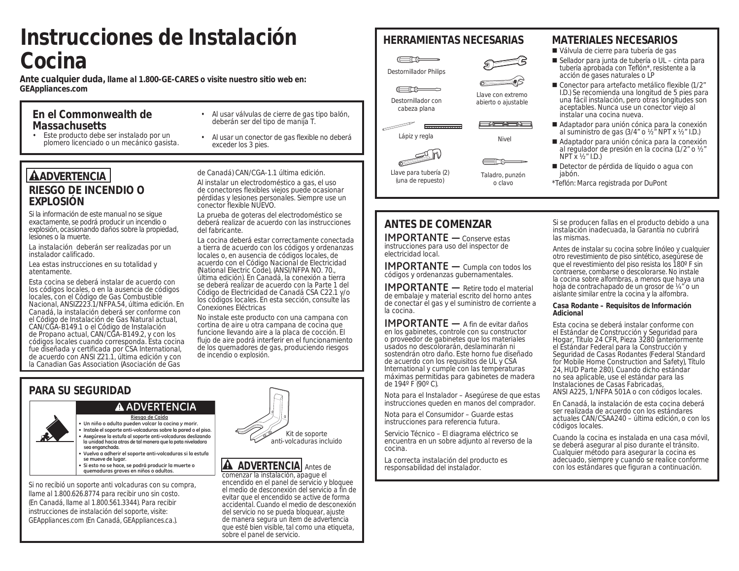# **Instrucciones de Instalación Cocina**

**Ante cualquier duda, llame al 1.800-GE-CARES o visite nuestro sitio web en: GEAppliances.com**

### **En el Commonwealth de Massachusetts**

• Este producto debe ser instalado por un plomero licenciado o un mecánico gasista.

### • Al usar válvulas de cierre de gas tipo balón, deberán ser del tipo de manija T. • Al usar un conector de gas flexible no deberá

exceder los 3 pies.

**AADVERTENCIA RIESGO DE INCENDIO O EXPLOSIÓN**

Si la información de este manual no se sigue exactamente, se podrá producir un incendio o explosión, ocasionando daños sobre la propiedad, lesiones o la muerte.

La instalación deberán ser realizadas por un instalador calificado.

Lea estas instrucciones en su totalidad y atentamente.

Esta cocina se deberá instalar de acuerdo con los códigos locales, o en la ausencia de códigos locales, con el Código de Gas Combustible Nacional, ANSIZ223.1/NFPA.54, última edición. En Canadá, la instalación deberá ser conforme con el Código de Instalación de Gas Natural actual, CAN/CGA-B149.1 o el Código de Instalación de Propano actual, CAN/CGA-B149.2, y con los códigos locales cuando corresponda. Esta cocina fue diseñada y certificada por CSA International, de acuerdo con ANSI Z21.1, última edición y con la Canadian Gas Association (Asociación de Gas

de Canadá) CAN/CGA-1.1 última edición.

Al instalar un electrodoméstico a gas, el uso de conectores flexibles viejos puede ocasionar pérdidas y lesiones personales. Siempre use un conector flexible NUEVO.

La prueba de goteras del electrodoméstico se deberá realizar de acuerdo con las instrucciones del fabricante.

La cocina deberá estar correctamente conectada a tierra de acuerdo con los códigos y ordenanzas locales o, en ausencia de códigos locales, de acuerdo con el Código Nacional de Electricidad (National Electric Code), (ANSI/NFPA NO. 70., última edición). En Canadá, la conexión a tierra se deberá realizar de acuerdo con la Parte 1 del Código de Electricidad de Canadá CSA C22.1 y/o los códigos locales. En esta sección, consulte las Conexiones Eléctricas

No instale este producto con una campana con cortina de aire u otra campana de cocina que funcione llevando aire a la placa de cocción. El flujo de aire podrá interferir en el funcionamiento de los quemadores de gas, produciendo riesgos de incendio o explosión.

## **PARA SU SEGURIDAD**

### **ADVERTENCIA**

- **Riesgo de Caída**
- **Un niño o adulto pueden volcar la cocina y morir. • Instale el soporte anti-volcaduras sobre la pared o el piso.**
- la unidad hacia atras de tal manera que la pata niveladora  **sea enganchada. • Vuelva a adherir el soporte anti-volcaduras si la estufa**
- **se mueve de lugar.**
- **Si esto no se hace, se podrá producir la muerte o quemaduras graves en niños o adultos.**

Si no recibió un soporte anti volcaduras con su compra, llame al 1.800.626.8774 para recibir uno sin costo. (En Canadá, llame al 1.800.561.3344). Para recibir instrucciones de instalación del soporte, visite: GEAppliances.com (En Canadá, GEAppliances.ca.).



**A** ADVERTENCIA Antes de comenzar la instalación, apague el encendido en el panel de servicio y bloquee el medio de desconexión del servicio a fin de evitar que el encendido se active de forma accidental. Cuando el medio de desconexión del servicio no se pueda bloquear, ajuste de manera segura un ítem de advertencia que esté bien visible, tal como una etiqueta, sobre el panel de servicio.

## **HERRAMIENTAS NECESARIAS MATERIALES NECESARIOS**



Destornillador con cabeza plana

 $\begin{array}{ccc}\n\mathbb{R} & \mathbb{R} & \mathbb{R} & \mathbb{R} & \mathbb{R} & \mathbb{R} & \mathbb{R} & \mathbb{R} & \mathbb{R} & \mathbb{R} & \mathbb{R} & \mathbb{R} & \mathbb{R} & \mathbb{R} & \mathbb{R} & \mathbb{R} & \mathbb{R} & \mathbb{R} & \mathbb{R} & \mathbb{R} & \mathbb{R} & \mathbb{R} & \mathbb{R} & \mathbb{R} & \mathbb{R} & \mathbb{R} & \mathbb{R} & \mathbb{R} & \mathbb{R} & \mathbb{R} & \math$ 

Llave para tubería (2) (una de repuesto)



Llave con extremo abierto o ajustable

### 一确向部门 Lápiz y regla Nivel



o clavo

- Válvula de cierre para tubería de gas
- Sellador para junta de tubería o UL cinta para tubería aprobada con Teflón\*, resistente a la acción de gases naturales o LP
- Conector para artefacto metálico flexible (1/2" I.D.) Se recomienda una longitud de 5 pies para una fácil instalación, pero otras longitudes son aceptables. Nunca use un conector viejo al instalar una cocina nueva.
- Adaptador para unión cónica para la conexión al suministro de gas (3/4" o ½" NPT x ½" I.D.)
- Adaptador para unión cónica para la conexión al regulador de presión en la cocina (1/2" o ½"  $NPT X Y_2" I.D.$
- Detector de pérdida de líquido o agua con jabón.
- \*Teflón: Marca registrada por DuPont

Si se producen fallas en el producto debido a una instalación inadecuada, la Garantía no cubrirá las mismas.

Antes de instalar su cocina sobre linóleo y cualquier otro revestimiento de piso sintético, asegúrese de que el revestimiento del piso resista los 180º F sin contraerse, combarse o descolorarse. No instale la cocina sobre alfombras, a menos que haya una hoja de contrachapado de un grosor de ¼" o un aislante similar entre la cocina y la alfombra.

### **Casa Rodante – Requisitos de Información Adicional**

Esta cocina se deberá instalar conforme con el Estándar de Construcción y Seguridad para Hogar, Título 24 CFR, Pieza 3280 (anteriormente el Estándar Federal para la Construcción y Seguridad de Casas Rodantes (Federal Standard for Mobile Home Construction and Safety), Título 24, HUD Parte 280). Cuando dicho estándar no sea aplicable, use el estándar para las Instalaciones de Casas Fabricadas, ANSI A225, 1/NFPA 501A o con códigos locales.

En Canadá, la instalación de esta cocina deberá ser realizada de acuerdo con los estándares actuales CAN/CSAA240 – última edición, o con los códigos locales.

Cuando la cocina es instalada en una casa móvil, se deberá asegurar al piso durante el tránsito. Cualquier método para asegurar la cocina es adecuado, siempre y cuando se realice conforme con los estándares que figuran a continuación.

instrucciones para uso del inspector de electricidad local. **IMPORTANTE** — Cumpla con todos los códigos y ordenanzas gubernamentales.

**ANTES DE COMENZAR IMPORTANTE** — Conserve estas

**IMPORTANTE** - Retire todo el material de embalaje y material escrito del horno antes de conectar el gas y el suministro de corriente a la cocina.

**IMPORTANTE** — A fin de evitar daños en los gabinetes, controle con su constructor o proveedor de gabinetes que los materiales usados no descolorarán, deslaminarán ni sostendrán otro daño. Este horno fue diseñado de acuerdo con los requisitos de UL y CSA International y cumple con las temperaturas máximas permitidas para gabinetes de madera de 194º F (90º C).

Nota para el Instalador – Asegúrese de que estas instrucciones queden en manos del comprador.

Nota para el Consumidor – Guarde estas instrucciones para referencia futura.

Servicio Técnico – El diagrama eléctrico se encuentra en un sobre adjunto al reverso de la cocina.

La correcta instalación del producto es responsabilidad del instalador.

Taladro, punzón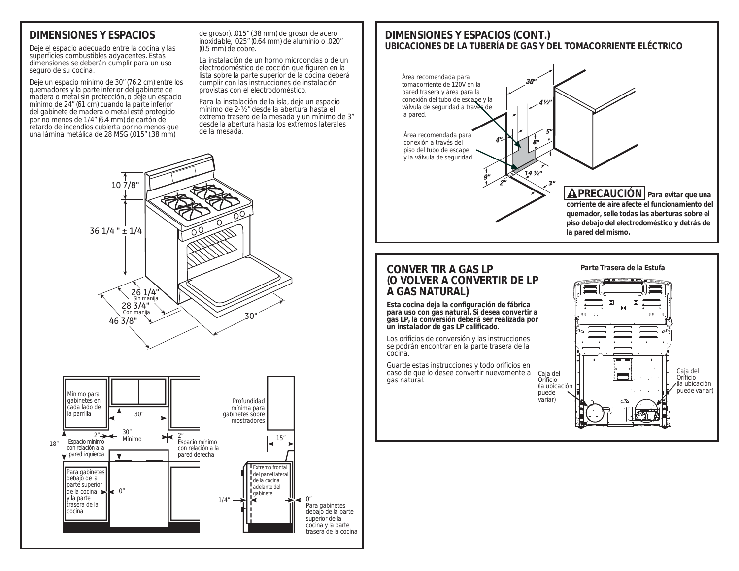## **DIMENSIONES Y ESPACIOS**

Deje el espacio adecuado entre la cocina y las superficies combustibles adyacentes. Estas dimensiones se deberán cumplir para un uso seguro de su cocina.

Deje un espacio mínimo de 30" (76.2 cm) entre los quemadores y la parte inferior del gabinete de madera o metal sin protección, o deje un espacio mínimo de 24" (61 cm) cuando la parte inferior del gabinete de madera o metal esté protegido por no menos de 1/4" (6.4 mm) de cartón de retardo de incendios cubierta por no menos que una lámina metálica de 28 MSG (.015" (.38 mm)

de grosor), .015" (.38 mm) de grosor de acero inoxidable, .025" (0.64 mm) de aluminio o .020" (0.5 mm) de cobre.

La instalación de un horno microondas o de un electrodoméstico de cocción que figuren en la lista sobre la parte superior de la cocina deberá cumplir con las instrucciones de instalación provistas con el electrodoméstico.

Para la instalación de la isla, deje un espacio mínimo de 2-½" desde la abertura hasta el extremo trasero de la mesada y un mínimo de 3" desde la abertura hasta los extremos laterales de la mesada.





### **CONVER TIR A GAS LP (O VOLVER A CONVERTIR DE LP A GAS NATURAL)**

**Esta cocina deja la configuración de fábrica para uso con gas natural. Si desea convertir a gas LP, la conversión deberá ser realizada por un instalador de gas LP calificado.**

Los orificios de conversión y las instrucciones se podrán encontrar en la parte trasera de la cocina.

Guarde estas instrucciones y todo orificios en caso de que lo desee convertir nuevamente a gas natural.

**Parte Trasera de la Estufa**





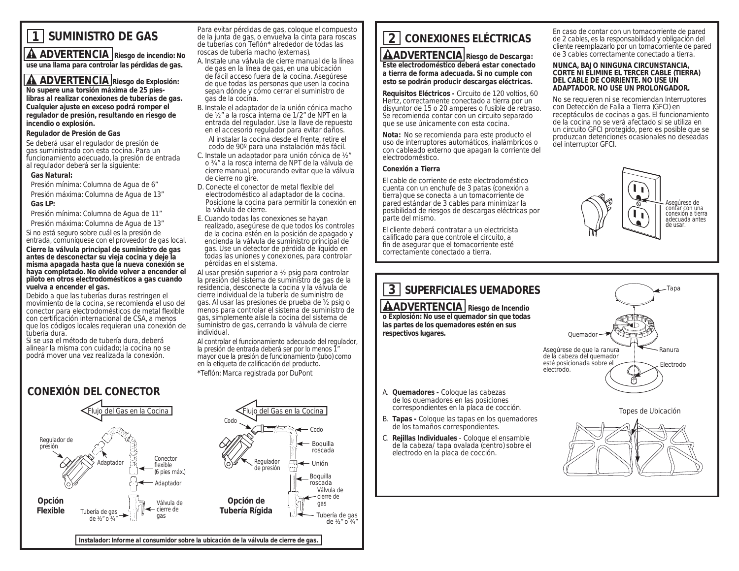## **1 SUMINISTRO DE GAS**

**A** ADVERTENCIA Riesgo de incendio: No **use una llama para controlar las pérdidas de gas.**

**A ADVERTENCIA** Riesgo de Explosión: **No supere una torsión máxima de 25 pies-**

**libras al realizar conexiones de tuberías de gas. Cualquier ajuste en exceso podrá romper el regulador de presión, resultando en riesgo de incendio o explosión.**

### **Regulador de Presión de Gas**

Se deberá usar el regulador de presión de gas suministrado con esta cocina. Para un funcionamiento adecuado, la presión de entrada al regulador deberá ser la siguiente:

### **Gas Natural:**

 Presión mínima: Columna de Agua de 6" Presión máxima: Columna de Agua de 13"

### **Gas LP:**

Presión mínima: Columna de Agua de 11"

 Presión máxima: Columna de Agua de 13" Si no está seguro sobre cuál es la presión de

entrada, comuníquese con el proveedor de gas local. **Cierre la válvula principal de suministro de gas antes de desconectar su vieja cocina y deje la misma apagada hasta que la nueva conexión se haya completado. No olvide volver a encender el piloto en otros electrodomésticos a gas cuando vuelva a encender el gas.**

Debido a que las tuberías duras restringen el movimiento de la cocina, se recomienda el uso del conector para electrodomésticos de metal flexible con certificación internacional de CSA, a menos que los códigos locales requieran una conexión de tubería dura.

Si se usa el método de tubería dura, deberá alinear la misma con cuidado; la cocina no se podrá mover una vez realizada la conexión.

Para evitar pérdidas de gas, coloque el compuesto de la junta de gas, o envuelva la cinta para roscas de tuberías con Teflón\* alrededor de todas las roscas de tubería macho (externas).

- A. Instale una válvula de cierre manual de la línea de gas en la línea de gas, en una ubicación de fácil acceso fuera de la cocina. Asegúrese de que todas las personas que usen la cocina sepan dónde y cómo cerrar el suministro de gas de la cocina.
- B. Instale el adaptador de la unión cónica macho de ½" a la rosca interna de 1/2" de NPT en la entrada del regulador. Use la llave de repuesto en el accesorio regulador para evitar daños. Al instalar la cocina desde el frente, retire el codo de 90º para una instalación más fácil.
- C. Instale un adaptador para unión cónica de ½" o ¾" a la rosca interna de NPT de la válvula de cierre manual, procurando evitar que la válvula de cierre no gire.
- D. Conecte el conector de metal flexible del electrodoméstico al adaptador de la cocina. Posicione la cocina para permitir la conexión en la válvula de cierre.
- E. Cuando todas las conexiones se hayan realizado, asegúrese de que todos los controles de la cocina estén en la posición de apagado y encienda la válvula de suministro principal de gas. Use un detector de pérdida de líquido en todas las uniones y conexiones, para controlar pérdidas en el sistema.
- Al usar presión superior a ½ psig para controlar la presión del sistema de suministro de gas de la residencia, desconecte la cocina y la válvula de cierre individual de la tubería de suministro de gas. Al usar las presiones de prueba de ½ psig o menos para controlar el sistema de suministro de gas, simplemente aísle la cocina del sistema de suministro de gas, cerrando la válvula de cierre individual.

Al controlar el funcionamiento adecuado del regulador, la presión de entrada deberá ser por lo menos 1" mayor que la presión de funcionamiento (tubo) como en la etiqueta de calificación del producto. \*Teflón: Marca registrada por DuPont



# **2 CONEXIONES ELÉCTRICAS**

**ADVERTENCIA Riesgo de Descarga: Este electrodoméstico deberá estar conectado a tierra de forma adecuada. Si no cumple con esto se podrán producir descargas eléctricas.**

**Requisitos Eléctricos -** Circuito de 120 voltios, 60 Hertz, correctamente conectado a tierra por un disyuntor de 15 o 20 amperes o fusible de retraso. Se recomienda contar con un circuito separado que se use únicamente con esta cocina.

**Nota:** No se recomienda para este producto el uso de interruptores automáticos, inalámbricos o con cableado externo que apagan la corriente del electrodoméstico.

### **Conexión a Tierra**

El cable de corriente de este electrodoméstico cuenta con un enchufe de 3 patas (conexión a tierra) que se conecta a un tomacorriente de pared estándar de 3 cables para minimizar la posibilidad de riesgos de descargas eléctricas por parte del mismo.

El cliente deberá contratar a un electricista calificado para que controle el circuito, a fin de asegurar que el tomacorriente esté correctamente conectado a tierra.



### **NUNCA, BAJO NINGUNA CIRCUNSTANCIA, CORTE NI ELIMINE EL TERCER CABLE (TIERRA) DEL CABLE DE CORRIENTE. NO USE UN ADAPTADOR. NO USE UN PROLONGADOR.**

No se requieren ni se recomiendan Interruptores con Detección de Falla a Tierra (GFCI) en receptáculos de cocinas a gas. El funcionamiento de la cocina no se verá afectado si se utiliza en un circuito GFCI protegido, pero es posible que se produzcan detenciones ocasionales no deseadas del interruptor GFCI.